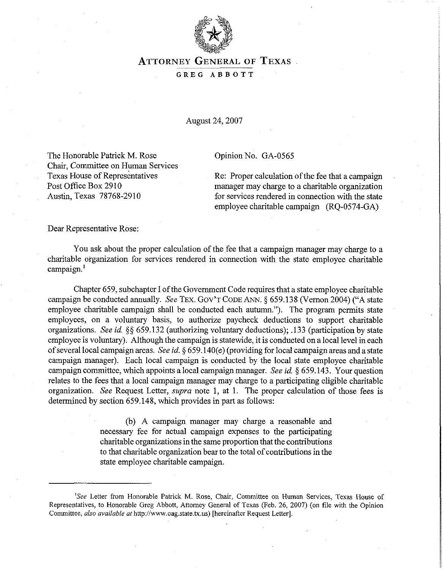

# **ATTORNEY GENERAL OF TEXAS**

### **GREG ABBOTT**

August 24,2007

The Honorable Patrick M. Rose Opinion No. GA-0565 Chair, Committee on Human Services

Texas House of Representatives Re: Proper calculation of the fee that a campaign<br>Post Office Box 2910 manager may charge to a charitable organization manager may charge to a charitable organization Austin, Texas 78768-2910 for services rendered in connection with the state employee charitable campaign (RQ-0574-GA)

Dear Representative Rose:

You ask about the proper calculation of the fee that a campaign manager may charge to a charitable organization for services rendered in connection with the state employee charitable campaign.'

Chapter 659, subchapter I of the Government Code requires that a state employee charitable campaign be conducted annually. **See** TEX. GOV'T **CODE** ANN. *5* 659.138 (Vernon 2004) ("A state employee charitable campaign shall be conducted each autumn."). The program permits state employees, on a voluntary basis, to authorize paycheck deductions to support charitable organizations. **See** id. **\$3** 659.132 (authorizing voluntary deductions); ,133 (participation by state employee is voluntary). Although the campaign is statewide, it is conducted on a local level in each of several local campaign areas. **See** id. **3** 659.140(e) (providing for local campaign areas and a state campaign manager). Each local campaign is conducted by the local state employee charitable campaign committee, which appoints a local campaign manager. **See id.** *3* 659.143. Your question relates to the fees that a local campaign manager may charge to a participating eligible charitable organization. **See** Request Letter, **supra** note 1, at 1. The proper calculation of those fees is determined by section 659.148, which provides in part as follows:

> (b) A campaign manager may charge a reasonable and necessary fee for actual campaign expenses to the participating charitable organizations in the same proportion that the contributions to that charitable organization bear to the total of contributions in the state employee charitable campaign.

*<sup>&#</sup>x27;See* Letter from Honorable Patrick M. Rose, Chair, Committee on Human Services, Texas House of Representatives, to Honorable Greg Abbott, Attorney General of Texas (Feb. 26, 2007) (on file with the Opinion Committee, *also available at* http://www.oag.state.tx.us) [hereinafter Request Letter].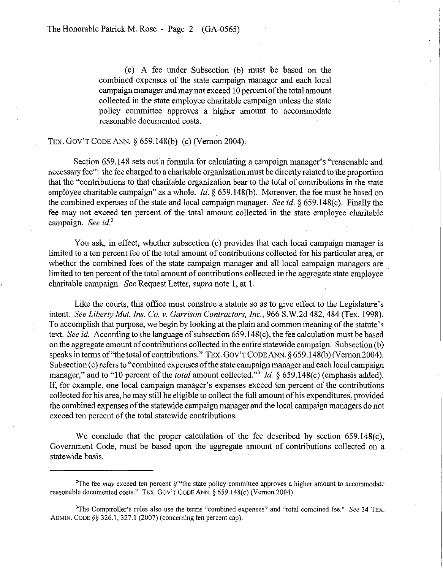(c) **A** fee under Subsection (b) must be based on the combined expenses of the state campaign manager and each local campaign manager and may not exceed 10 percent of the total amount collected in the state employee charitable campaign unless the state policy committee approves a higher amount to accommodate reasonable documented costs.

### TEX. GOV'T CODE ANN. § 659.148(b)-(c) (Vernon 2004).

Section 659.148 sets out a formula for calculating a campaign manager's "reasonable and necessary fee": the fee charged to a charitable organization must be directly related to the proportion that the "contributions to that charitable organization bear to the total of contributions in the state employee charitable campaign" as a whole. *Id.* § 659.148(b). Moreover, the fee must be based on the combined expenses of the state and local campaign manager. *See id.* **3** 659.148(c). Finally the fee may not exceed ten percent of the total amount collected in the state employee charitable campaign. *See id.'* 

You ask, in effect, whether subsection (c) provides that each local campaign manager is limited to a ten percent fee of the total amount of contributions collected for his particular area, or whether the combined fees of the state campaign manager and all local campaign managers are limited to ten percent of the total amount of contributions collected in the aggregate state employee charitable campaign. *See* Request Letter, *supra* note 1, at 1.

Like the courts, this office must construe a statute so as to give effect to the Legislature's intent. *See Liberty Mut. Ins. Co.* **v.** *Garrison Contractors, Inc.,* 966 S.W.2d 482,484 (Tex. 1998). To accomplish that purpose, we begin by looking at the plain and common meaning of the statute's text. *See id.* According to the language of subsection 659.148(c), the fee calculation must be based on the aggregate amount of contributions collected in the entire statewide campaign. Subsection (b) speaks in terms of "the total of contributions." TEX. GOV'TCODE ANN. *5* 659.148(b) (Vernon 2004). Subsection (c) refers to "combined expenses of the state campaign manager and each local campaign manager," and to "10 percent of the *total* amount collected."<sup>3</sup> *Id.*  $\&$  659.148(c) (emphasis added). If, for example, one local campaign manager's expenses exceed ten percent of the contributions collected for his area, he may still be eligible to collect the full amount of his expenditures, provided the combined expenses of the statewide campaign manager and the local campaign managers do not exceed ten percent of the total statewide contributions.

We conclude that the proper calculation of the fee described by section 659.148(c), Government Code, must be based upon the aggregate amount of contributions collected on a statewide basis.

<sup>&</sup>lt;sup>2</sup>The fee *may* exceed ten percent if "the state policy committee approves a higher amount to accommodate reasonable documented costs." TEX. GOV'T CODE ANN. *5* 659.148(c) (Vernon 2004).

<sup>&#</sup>x27;The Comptroller's rules also use the terms "combined expenses" and "total combined fee." *See* **34** TEX. ADMW. CODE *\$5* 326.1,327.1 (2007) (concerning ten percent cap).